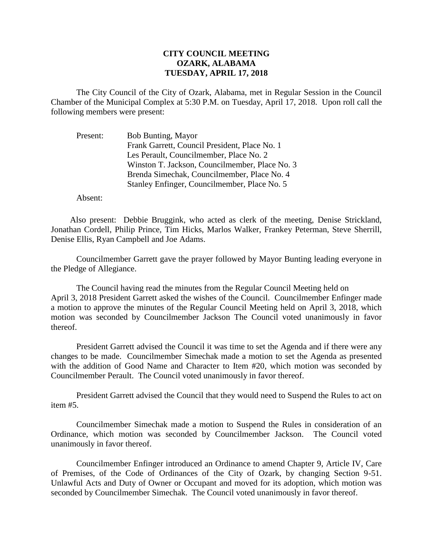## **CITY COUNCIL MEETING OZARK, ALABAMA TUESDAY, APRIL 17, 2018**

The City Council of the City of Ozark, Alabama, met in Regular Session in the Council Chamber of the Municipal Complex at 5:30 P.M. on Tuesday, April 17, 2018. Upon roll call the following members were present:

Present: Bob Bunting, Mayor Frank Garrett, Council President, Place No. 1 Les Perault, Councilmember, Place No. 2 Winston T. Jackson, Councilmember, Place No. 3 Brenda Simechak, Councilmember, Place No. 4 Stanley Enfinger, Councilmember, Place No. 5

Absent:

Also present: Debbie Bruggink, who acted as clerk of the meeting, Denise Strickland, Jonathan Cordell, Philip Prince, Tim Hicks, Marlos Walker, Frankey Peterman, Steve Sherrill, Denise Ellis, Ryan Campbell and Joe Adams.

Councilmember Garrett gave the prayer followed by Mayor Bunting leading everyone in the Pledge of Allegiance.

The Council having read the minutes from the Regular Council Meeting held on April 3, 2018 President Garrett asked the wishes of the Council. Councilmember Enfinger made a motion to approve the minutes of the Regular Council Meeting held on April 3, 2018, which motion was seconded by Councilmember Jackson The Council voted unanimously in favor thereof.

President Garrett advised the Council it was time to set the Agenda and if there were any changes to be made. Councilmember Simechak made a motion to set the Agenda as presented with the addition of Good Name and Character to Item #20, which motion was seconded by Councilmember Perault. The Council voted unanimously in favor thereof.

President Garrett advised the Council that they would need to Suspend the Rules to act on item #5.

Councilmember Simechak made a motion to Suspend the Rules in consideration of an Ordinance, which motion was seconded by Councilmember Jackson. The Council voted unanimously in favor thereof.

Councilmember Enfinger introduced an Ordinance to amend Chapter 9, Article IV, Care of Premises, of the Code of Ordinances of the City of Ozark, by changing Section 9-51. Unlawful Acts and Duty of Owner or Occupant and moved for its adoption, which motion was seconded by Councilmember Simechak. The Council voted unanimously in favor thereof.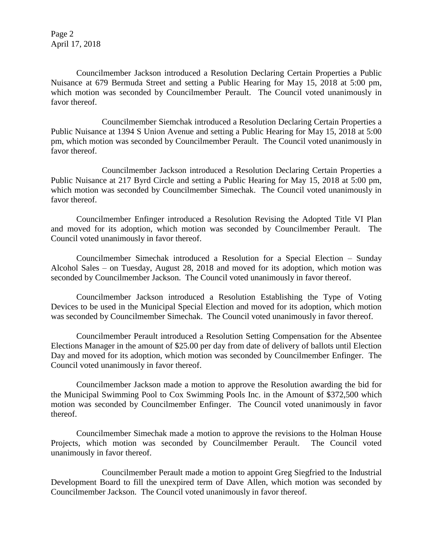Page 2 April 17, 2018

Councilmember Jackson introduced a Resolution Declaring Certain Properties a Public Nuisance at 679 Bermuda Street and setting a Public Hearing for May 15, 2018 at 5:00 pm, which motion was seconded by Councilmember Perault. The Council voted unanimously in favor thereof.

Councilmember Siemchak introduced a Resolution Declaring Certain Properties a Public Nuisance at 1394 S Union Avenue and setting a Public Hearing for May 15, 2018 at 5:00 pm, which motion was seconded by Councilmember Perault. The Council voted unanimously in favor thereof.

Councilmember Jackson introduced a Resolution Declaring Certain Properties a Public Nuisance at 217 Byrd Circle and setting a Public Hearing for May 15, 2018 at 5:00 pm, which motion was seconded by Councilmember Simechak. The Council voted unanimously in favor thereof.

Councilmember Enfinger introduced a Resolution Revising the Adopted Title VI Plan and moved for its adoption, which motion was seconded by Councilmember Perault. The Council voted unanimously in favor thereof.

Councilmember Simechak introduced a Resolution for a Special Election – Sunday Alcohol Sales – on Tuesday, August 28, 2018 and moved for its adoption, which motion was seconded by Councilmember Jackson. The Council voted unanimously in favor thereof.

Councilmember Jackson introduced a Resolution Establishing the Type of Voting Devices to be used in the Municipal Special Election and moved for its adoption, which motion was seconded by Councilmember Simechak. The Council voted unanimously in favor thereof.

Councilmember Perault introduced a Resolution Setting Compensation for the Absentee Elections Manager in the amount of \$25.00 per day from date of delivery of ballots until Election Day and moved for its adoption, which motion was seconded by Councilmember Enfinger. The Council voted unanimously in favor thereof.

Councilmember Jackson made a motion to approve the Resolution awarding the bid for the Municipal Swimming Pool to Cox Swimming Pools Inc. in the Amount of \$372,500 which motion was seconded by Councilmember Enfinger. The Council voted unanimously in favor thereof.

Councilmember Simechak made a motion to approve the revisions to the Holman House Projects, which motion was seconded by Councilmember Perault. The Council voted unanimously in favor thereof.

Councilmember Perault made a motion to appoint Greg Siegfried to the Industrial Development Board to fill the unexpired term of Dave Allen, which motion was seconded by Councilmember Jackson. The Council voted unanimously in favor thereof.